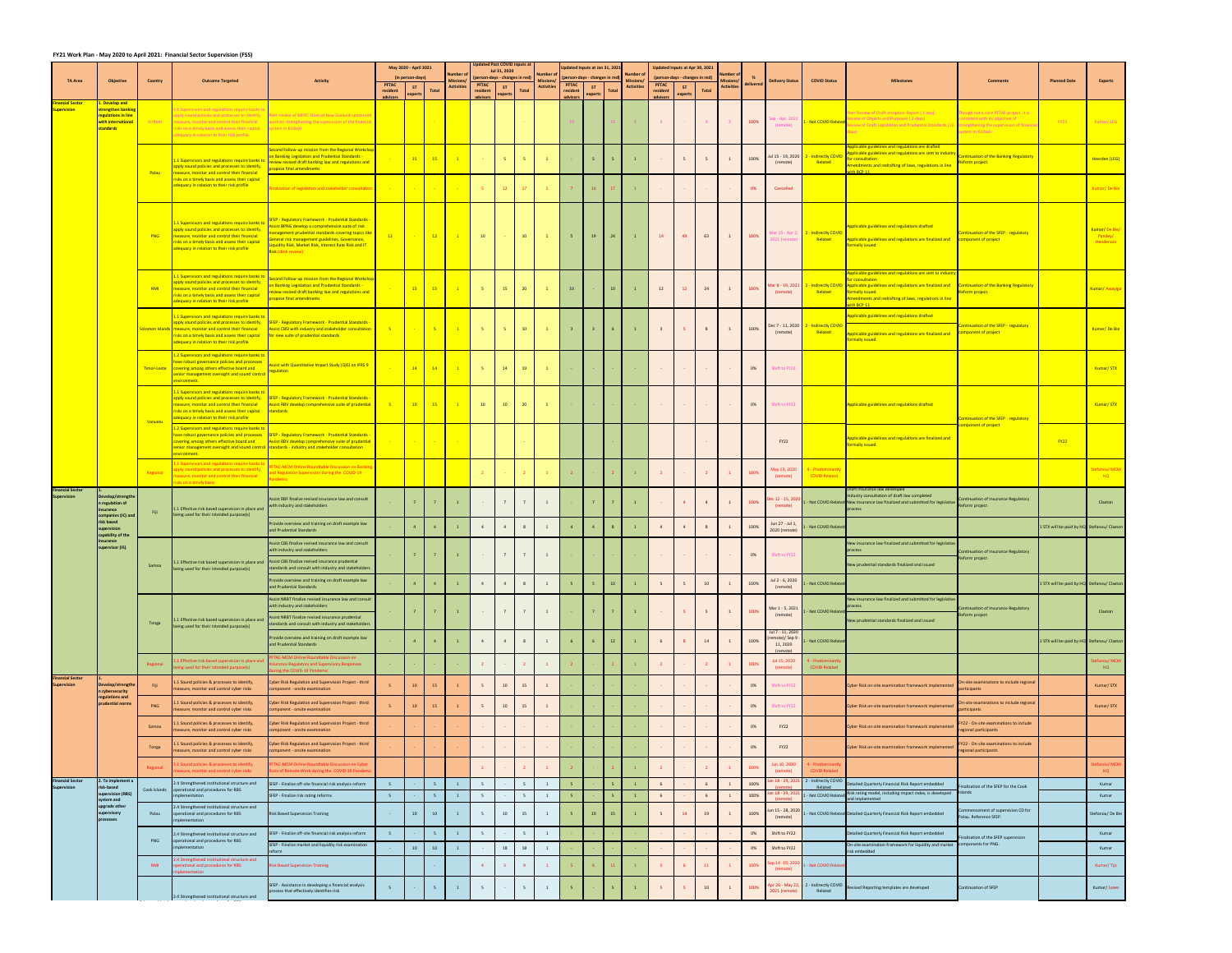|                                               |                                                                             |                |                                                                                                                                                                                                                                                                       |                                                                                                                                                                                                                                                                                                         |                             | May 2020 - April 2021                      |                                                                                                                     |                                           | <b>Updated Post COVID Inputs at</b>            | Jul 31, 2020 |                 |                                                   | Updated Inputs at Jan 31, 2021                 |         |       |                                                  |                             | Updated Inputs at Apr 30, 2021        |                         |                                                    |           |                                        |                                                  |                                                                                                                                                                                                                                                                              |                                                                                                                                              |                                            |                                                    |
|-----------------------------------------------|-----------------------------------------------------------------------------|----------------|-----------------------------------------------------------------------------------------------------------------------------------------------------------------------------------------------------------------------------------------------------------------------|---------------------------------------------------------------------------------------------------------------------------------------------------------------------------------------------------------------------------------------------------------------------------------------------------------|-----------------------------|--------------------------------------------|---------------------------------------------------------------------------------------------------------------------|-------------------------------------------|------------------------------------------------|--------------|-----------------|---------------------------------------------------|------------------------------------------------|---------|-------|--------------------------------------------------|-----------------------------|---------------------------------------|-------------------------|----------------------------------------------------|-----------|----------------------------------------|--------------------------------------------------|------------------------------------------------------------------------------------------------------------------------------------------------------------------------------------------------------------------------------------------------------------------------------|----------------------------------------------------------------------------------------------------------------------------------------------|--------------------------------------------|----------------------------------------------------|
| <b>TA Area</b>                                | Objective                                                                   | <b>Country</b> | <b>Outcome Targeted</b>                                                                                                                                                                                                                                               | <b>Activity</b>                                                                                                                                                                                                                                                                                         | <b>PFTAC</b>                | (in person-days)<br>S                      |                                                                                                                     | Number o<br>Missions<br><b>Activities</b> | (person-days - changes in red)<br><b>PFTAC</b> | <b>ST</b>    |                 | Number of<br><b>Missions</b><br><b>Activities</b> | (person-days - changes in red)<br><b>PFTAC</b> | ST      |       | Number of<br><b>Mission</b><br><b>Activities</b> | <b>PFTAC</b>                | (person-days - changes in red)<br>ST. |                         | Number of<br><b>Missions/</b><br><b>Activities</b> | delivered | <b>Delivery Status</b>                 | <b>COVID Status</b>                              | <b>Milestones</b>                                                                                                                                                                                                                                                            | <b>Comments</b>                                                                                                                              | <b>Planned Date</b>                        | <b>Experts</b>                                     |
| nancial Sector                                | 1. Develop and                                                              |                |                                                                                                                                                                                                                                                                       |                                                                                                                                                                                                                                                                                                         | resident<br><b>advisors</b> | experts                                    | <b>Total</b>                                                                                                        |                                           | resident<br>advisors                           | experts      | <b>Total</b>    |                                                   | resident<br>advisors                           | experts | Total |                                                  | resident<br><b>advisors</b> | experts                               | Total                   |                                                    |           |                                        |                                                  |                                                                                                                                                                                                                                                                              |                                                                                                                                              |                                            |                                                    |
| <b>Supervision</b>                            | strengthen banking<br>regulations in line<br>with international<br>tandards | Kiribati       | 1 Supervisors and regulations require bank:<br>apply sound policies and processes to identify<br>measure, monitor and control their financial<br>risks on a timely basis and assess their capital<br>adequacy in relation to their risk profile.                      | Peer review of MFAT. Govt of New Zealand-sponsore<br>vork on strengthening the supervision of the financia<br>system in Kiribati                                                                                                                                                                        |                             |                                            |                                                                                                                     |                                           |                                                |              |                 |                                                   |                                                |         |       |                                                  | 3 <sup>7</sup>              |                                       | $\overline{\mathbf{3}}$ | 2 100%                                             |           | Sep - Apr, 2021<br>(remote)            | - Not COVID Related                              | Peer Review of Draft Inception Report (1 day)<br>eview of Objects and Purposes (2 days)<br>view of Draft Legislation and Prudential Standards (10                                                                                                                            | Though not a core PFTAC project, it is<br>consistent with its objective of<br>strengthening the supervision of financi<br>system in Kiribati | FY21                                       | Kumar/LEG                                          |
|                                               |                                                                             | <b>Palau</b>   | 1.1 Supervisors and regulations require banks t<br>apply sound policies and processes to identify,<br>measure, monitor and control their financial                                                                                                                    | Gecond Follow-up mission from the Regional Workshop<br>n Banking Legislation and Prudential Standards -<br>eview revised draft banking law and regulations and<br>ropose final amendments                                                                                                               |                             |                                            |                                                                                                                     |                                           | 15 15 1 1                                      | $-5$         | $-5$            |                                                   |                                                |         |       |                                                  | <b>Contract Contract</b>    |                                       |                         |                                                    | 100%      | Jul 15 - 19, 2020<br>(remote)          | 2 - Indirectly COVII<br>Related                  | Applicable guidelines and regulations are drafted<br>Applicable guidelines and regulations are sent to industry<br>or consultation<br>Amendments and redrafting of laws, regulations in line<br><b>The RCP 11 Article 10</b>                                                 | Continuation of the Banking Regulatory<br>Reform project.                                                                                    |                                            | Heerden (LEG)                                      |
|                                               |                                                                             |                | risks on a timely basis and assess their capital<br>adequacy in relation to their risk profile                                                                                                                                                                        | nalization of legislation and stakeholder consultation                                                                                                                                                                                                                                                  | <b>Contract Contract</b>    | <b>Contract Contract</b>                   | <b>Contract</b>                                                                                                     | <b>Contract</b>                           | $-5$                                           | 12           | 17              | $\blacksquare$ 1                                  |                                                |         | 17    |                                                  | <b>Common</b>               |                                       |                         |                                                    | 0%        | Cancelled                              |                                                  |                                                                                                                                                                                                                                                                              |                                                                                                                                              |                                            | Kumar/De Bie                                       |
|                                               |                                                                             | <b>PNG</b>     | 1.1 Supervisors and regulations require banks to<br>apply sound policies and processes to identify,<br>measure, monitor and control their financial<br>risks on a timely basis and assess their capital<br>adequacy in relation to their risk profile                 | FEP - Regulatory Framework - Prudential Standards -<br>ssist BPNG develop a comprehensive suite of risk<br>anagement prudential standards covering topics like<br>ieneral risk management guidelines, Governance,<br>iquidity Risk, Market Risk, Interest Rate Risk and IT<br><b>Risk (desk review)</b> |                             |                                            |                                                                                                                     | 12 <b>1</b> 12 1 10                       |                                                |              | $\overline{10}$ | $\sim$ 1                                          | $-5$                                           | 19      | 24    |                                                  | 14                          | 49                                    | 63                      |                                                    | 100%      | 2021 (remote)                          | Mar 15 - Apr 2, 2 - Indirectly COVID<br>Related  | Applicable guidelines and regulations drafted<br>Applicable guidelines and regulations are finalized and component of project<br>formally issued                                                                                                                             | Continuation of the SFEP - regulatory                                                                                                        |                                            | Kumar/De Bie/<br>Pandey/<br>Henderson <sup>1</sup> |
|                                               |                                                                             | <b>RMI</b>     | 1.1 Supervisors and regulations require banks to<br>apply sound policies and processes to identify<br>measure, monitor and control their financial<br>risks on a timely basis and assess their capital<br>adequacy in relation to their risk profile                  | econd Follow-up mission from the Regional Workshop<br>n Banking Legislation and Prudential Standards -<br>view revised draft banking law and regulations and<br>ropose final amendments                                                                                                                 |                             |                                            |                                                                                                                     |                                           | 15 15 16 16                                    | 15           | $\overline{20}$ |                                                   | 10                                             |         | 10    |                                                  | 12                          | 12                                    | 24                      |                                                    | 100%      | (remote)                               | Mar 8 - 19, 2021 2 - Indirectly COVID<br>Related | Applicable guidelines and regulations are sent to industry<br>for consultation<br>Applicable guidelines and regulations are finalized and Continuation of the Banking Regulatory<br>formally issued<br>Amendments and redrafting of laws, regulations in line<br>vith BCP 11 | Reform project.                                                                                                                              |                                            | Kumar/ Awayiga                                     |
|                                               |                                                                             |                | 1.1 Supervisors and regulations require banks to<br>apply sound policies and processes to identify,<br>Solomon Islands measure, monitor and control their financial<br>risks on a timely basis and assess their capital<br>adequacy in relation to their risk profile | SFEP - Regulatory Framework - Prudential Standards -<br>Assist CBSI with industry and stakeholder consultation<br>for new suite of prudential standards                                                                                                                                                 | 5 <b>. 5 . 5 . 1</b> 5      |                                            |                                                                                                                     |                                           |                                                | $-5$         | 10              |                                                   |                                                |         |       |                                                  |                             |                                       | 8 <sup>8</sup>          |                                                    | 100%      | (remote)                               | Dec 7 - 11, 2020 2 - Indirectly COVID<br>Related | Applicable guidelines and regulations drafted<br>Applicable guidelines and regulations are finalized and component of project<br>formally issued                                                                                                                             | Continuation of the SFEP - regulatory                                                                                                        |                                            | Kumar/De Bie                                       |
|                                               |                                                                             |                | 1.2 Supervisors and regulations require banks to<br>have robust governance policies and processes<br>Timor-Leste covering among others effective board and<br>senior management oversight and sound control<br>environment.                                           | sist with Quantitative Impact Study (QIS) on IFRS 9<br>egulation                                                                                                                                                                                                                                        |                             | $\begin{array}{c c} \hline \end{array}$ 14 | $\begin{array}{ c c c c c }\n\hline\n\text{\quad \quad 14} & \text{\quad \quad} & \text{\quad \quad} \n\end{array}$ |                                           | <b>1</b> 5                                     | 14           | 19              |                                                   |                                                |         |       |                                                  | <b>Common</b>               | $\sim 10^{-10}$                       | $\sim 100$ km s $^{-1}$ |                                                    | 0%        | Shift to FY22                          |                                                  |                                                                                                                                                                                                                                                                              |                                                                                                                                              |                                            | Kumar/STX                                          |
|                                               |                                                                             | <b>Vanuatu</b> | 1.1 Supervisors and regulations require banks to<br>apply sound policies and processes to identify,<br>measure, monitor and control their financial<br>risks on a timely basis and assess their capital<br>adequacy in relation to their risk profile                 | SFEP - Regulatory Framework - Prudential Standards -<br>Assist RBV develop comprehensive suite of prudential<br>tandards                                                                                                                                                                                |                             |                                            |                                                                                                                     | 10 15 1 1                                 | 10                                             | 10           | 20              |                                                   |                                                |         |       |                                                  | <b>Contract Contract</b>    | $\sim 10^{-10}$                       | $\sim 100$ km s $^{-1}$ | $\sim 100$ km s $^{-1}$                            | 0%        | Shift to FY22                          |                                                  | Applicable guidelines and regulations drafted                                                                                                                                                                                                                                | Continuation of the SFEP - regulatory                                                                                                        |                                            | Kumar/STX                                          |
|                                               |                                                                             |                | 1.2 Supervisors and regulations require banks to<br>covering among others effective board and<br>environment.                                                                                                                                                         | have robust governance policies and processes SFEP - Regulatory Framework - Prudential Standards -<br>Assist RBV develop comprehensive suite of prudential<br>senior management oversight and sound control standards - industry and stakeholder consultation                                           |                             |                                            |                                                                                                                     |                                           |                                                |              |                 |                                                   |                                                |         |       |                                                  |                             |                                       |                         |                                                    |           | <b>FY22</b>                            |                                                  | Applicable guidelines and regulations are finalized and<br>formally issued                                                                                                                                                                                                   | component of project                                                                                                                         | FY22                                       |                                                    |
|                                               |                                                                             | Regional       | 1.1 Supervisors and regulations require banks<br>pply sound policies and processes to identif<br>neasure, monitor and control their financial<br>risks on a timely basis                                                                                              | FTAC-MCM Online Roundtable Discussion on Banking<br>nd Regulation Supervision during the COVID-19<br>ndemic L                                                                                                                                                                                           |                             |                                            |                                                                                                                     |                                           | $\overline{2}$                                 |              | $\sim$ 2        |                                                   |                                                |         |       |                                                  | $\overline{2}$              |                                       |                         |                                                    | 100%      | May 13, 2020<br>(remote)               | 4 - Predominantly<br><b>COVID Related</b>        |                                                                                                                                                                                                                                                                              |                                                                                                                                              |                                            | Stefanou/MCM<br>HQ R                               |
| <b>Financial Sector</b><br><b>Supervision</b> | Develop/strengthe<br>n regulation of<br>nsurance<br>ompanies (IC) and       |                | 1.1 Effective risk based supervision in place and<br>being used for their intended purpose(s)                                                                                                                                                                         | Assist RBF finalize revised insurance law and consult<br>with industry and stakeholders                                                                                                                                                                                                                 |                             |                                            | $\overline{7}$                                                                                                      |                                           | $\sim 100$                                     |              |                 |                                                   |                                                |         |       |                                                  | $\sim$ $ \sim$              |                                       | $\overline{4}$          |                                                    | 100%      | Dec 12 - 15, 2020<br>(remote)          |                                                  | Draft insurance law developed<br>Industry consultation of draft law completed<br>. - Not COVID Related New insurance law finalized and submitted for legislative<br>rocess                                                                                                   | Continuation of Insurance Regulatory<br>Reform project                                                                                       |                                            | Claxton                                            |
|                                               | risk based<br>upervision<br>capability of the                               |                |                                                                                                                                                                                                                                                                       | Provide overview and training on draft example law<br>and Prudential Standards                                                                                                                                                                                                                          |                             |                                            |                                                                                                                     |                                           |                                                |              |                 |                                                   |                                                |         |       |                                                  |                             |                                       |                         |                                                    | 100%      | Jun 27 - Jul 1,<br>2020 (remote)       | - Not COVID Related                              |                                                                                                                                                                                                                                                                              |                                                                                                                                              | 1 STX will be paid by HQ Stefanou/ Claxton |                                                    |
|                                               | nsurance<br>supervisor (IS)                                                 |                |                                                                                                                                                                                                                                                                       | Assist CBS finalize revised insurance law and consult<br>with industry and stakeholders<br>1 Effective risk based supervision in place and Assist CBS finalize revised insurance prudential                                                                                                             |                             |                                            | $\overline{7}$                                                                                                      |                                           | $\sim 100$ km s $^{-1}$                        |              |                 |                                                   |                                                |         |       |                                                  | $\sim 1000$ km s $^{-1}$    |                                       | $\sim 10^{-10}$         | $\sim 100$                                         | 0%        | Shift to FY22                          |                                                  | New insurance law finalized and submitted for legislative<br>New prudential standards finalized and issued                                                                                                                                                                   | <b>Continuation of Insurance Regulatory</b><br>Reform project                                                                                |                                            |                                                    |
|                                               |                                                                             | Samoa          | being used for their intended purpose(s)                                                                                                                                                                                                                              | standards and consult with industry and stakeholders<br>Provide overview and training on draft example law                                                                                                                                                                                              |                             |                                            |                                                                                                                     |                                           |                                                |              |                 |                                                   |                                                |         |       |                                                  |                             |                                       |                         |                                                    |           | Jul 2 - 6, 2020                        |                                                  |                                                                                                                                                                                                                                                                              |                                                                                                                                              |                                            |                                                    |
|                                               |                                                                             |                |                                                                                                                                                                                                                                                                       | and Prudential Standards<br>Assist NRBT finalize revised insurance law and consult                                                                                                                                                                                                                      |                             |                                            |                                                                                                                     |                                           |                                                |              |                 |                                                   |                                                |         | 10    |                                                  |                             |                                       | 10                      |                                                    | 100%      | (remote)                               | 1 - Not COVID Related                            | New insurance law finalized and submitted for legislative                                                                                                                                                                                                                    |                                                                                                                                              | 1 STX will be paid by HQ Stefanou/ Claxton |                                                    |
|                                               |                                                                             |                |                                                                                                                                                                                                                                                                       | with industry and stakeholders<br>Assist NRBT finalize revised insurance prudential                                                                                                                                                                                                                     |                             |                                            |                                                                                                                     |                                           | $\sim 100$ km s $^{-1}$                        |              |                 |                                                   |                                                |         |       |                                                  | $\sim 100$                  |                                       |                         |                                                    | 100%      | Mar 1 - 5, 2021<br>(remote)            | 1 - Not COVID Related                            |                                                                                                                                                                                                                                                                              | Continuation of Insurance Regulatory<br>Reform project                                                                                       |                                            | Claxton                                            |
|                                               |                                                                             | Tonga          | 1 Effective risk based supervision in place and<br>being used for their intended purpose(s)                                                                                                                                                                           | standards and consult with industry and stakeholders                                                                                                                                                                                                                                                    |                             |                                            |                                                                                                                     |                                           |                                                |              |                 |                                                   |                                                |         |       |                                                  |                             |                                       |                         |                                                    |           | Jul 7 - 11, 2020                       |                                                  | New prudential standards finalized and issued                                                                                                                                                                                                                                |                                                                                                                                              |                                            |                                                    |
|                                               |                                                                             |                |                                                                                                                                                                                                                                                                       | Provide overview and training on draft example law<br>and Prudential Standards                                                                                                                                                                                                                          |                             |                                            |                                                                                                                     |                                           |                                                |              |                 |                                                   |                                                |         |       |                                                  |                             |                                       | 14                      |                                                    | 100%      | (remote)/ Sep 9<br>11, 2020<br>(remot) | . - Not COVID Related                            |                                                                                                                                                                                                                                                                              |                                                                                                                                              | 1 STX will be paid by HQ Stefanou/ Claxton |                                                    |
|                                               |                                                                             | Regional       | 1 Effective risk based supervision in place and<br>eing used for their intended purpose(s)                                                                                                                                                                            | TAC-MCM Online Roundtable Discussion on<br>surance Regulatory and Supervisory Responses<br>uring the COVID-19 Pandemic                                                                                                                                                                                  |                             |                                            |                                                                                                                     |                                           |                                                |              |                 |                                                   |                                                |         |       |                                                  |                             |                                       |                         |                                                    | 100%      | Jul 15, 2020<br>(remote)               | 4 - Predominant<br><b>COVID Related</b>          |                                                                                                                                                                                                                                                                              |                                                                                                                                              |                                            | tefanou/ MCM<br>HQ .                               |
| <b>Financial Sector</b><br><b>Supervision</b> | Develop/strengthe<br>n cybersecurity                                        | Fiji           | 1 Sound policies & processes to identify,<br>measure, monitor and control cyber risks                                                                                                                                                                                 | Cyber Risk Regulation and Supervision Project - third<br>component - onsite examination                                                                                                                                                                                                                 |                             | 10                                         | 15                                                                                                                  |                                           |                                                | 10           | 15              |                                                   |                                                |         |       |                                                  |                             |                                       |                         |                                                    | 0%        | hift to FY22                           |                                                  | Cyber Risk on-site examination framework implemented                                                                                                                                                                                                                         | n-site examinations to include regiona<br><i>participants</i>                                                                                |                                            | Kumar/ STX                                         |
|                                               | regulations and<br>prudential norms                                         | <b>PNG</b>     | .1 Sound policies & processes to identify,<br>measure, monitor and control cyber risks                                                                                                                                                                                | Cyber Risk Regulation and Supervision Project - third<br>component - onsite examination                                                                                                                                                                                                                 |                             | 10                                         | 15                                                                                                                  |                                           |                                                | 10           | 15              |                                                   |                                                |         |       |                                                  |                             |                                       |                         |                                                    | 0%        | hift to FY22                           |                                                  | Cyber Risk on-site examination framework implemented                                                                                                                                                                                                                         | n-site examinations to include regiona<br><i>participants</i>                                                                                |                                            | Kumar/STX                                          |
|                                               |                                                                             | Samoa          | 1 Sound policies & processes to identify,<br>measure, monitor and control cyber risks                                                                                                                                                                                 | Cyber Risk Regulation and Supervision Project - third<br>component - onsite examination                                                                                                                                                                                                                 |                             |                                            |                                                                                                                     |                                           |                                                |              |                 |                                                   |                                                |         |       |                                                  |                             |                                       |                         |                                                    | 0%        | <b>FY22</b>                            |                                                  | Cyber Risk on-site examination framework implementec                                                                                                                                                                                                                         | FY22 - On-site examinations to include<br>regional participants                                                                              |                                            |                                                    |
|                                               |                                                                             | Tonga          | 1 Sound policies & processes to identify,<br>measure, monitor and control cyber risks                                                                                                                                                                                 | Cyber Risk Regulation and Supervision Project - third<br>component - onsite examination                                                                                                                                                                                                                 |                             |                                            |                                                                                                                     |                                           |                                                |              |                 |                                                   |                                                |         |       |                                                  |                             |                                       |                         |                                                    | 0%        | <b>FY22</b>                            |                                                  | Cyber Risk on-site examination framework implemented                                                                                                                                                                                                                         | FY22 - On-site examinations to include<br>regional participants                                                                              |                                            |                                                    |
|                                               |                                                                             | Regional       | 1 Sound policies & processes to identify,<br>easure, monitor and control cyber risks                                                                                                                                                                                  | FTAC-MCM Online Roundtable Discussion on Cyber<br>isks of Remote Work during the COVID-19 Pandem                                                                                                                                                                                                        |                             |                                            |                                                                                                                     |                                           |                                                |              |                 |                                                   |                                                |         |       |                                                  |                             |                                       |                         |                                                    | 100%      | Jun 10, 2020<br>(remote)               | 4 - Predominant<br><b>COVID Related</b>          |                                                                                                                                                                                                                                                                              |                                                                                                                                              |                                            | tefanou/ MCM<br>HQ                                 |
| <b>Financial Sector</b><br>Supervision        | 2. To implement a<br>risk-based                                             |                | 2.4 Strengthened institutional structure and                                                                                                                                                                                                                          | SFEP - Finalize off-site financial risk analysis reform                                                                                                                                                                                                                                                 |                             |                                            |                                                                                                                     |                                           |                                                |              |                 |                                                   |                                                |         |       |                                                  |                             |                                       |                         |                                                    | 100%      | Jan 18 - 29, 20                        | - Indirectly COVID<br>Related                    | Detailed Quarterly Financial Risk Report embedded                                                                                                                                                                                                                            | Finalization of the SFEP for the Cook                                                                                                        |                                            | Kumar                                              |
|                                               | supervision (RBS<br>system and                                              |                | Cook Islands operational and procedures for RBS<br>mplementation                                                                                                                                                                                                      | SFEP - Finalize risk rating reforms                                                                                                                                                                                                                                                                     |                             |                                            |                                                                                                                     |                                           |                                                |              |                 |                                                   |                                                |         |       |                                                  |                             |                                       |                         |                                                    | 100%      | Jan 18 - 29, 20                        | - Not COVID Relate                               | Risk rating model, including impact index, is developed Islands<br>and implemented                                                                                                                                                                                           |                                                                                                                                              |                                            | Kumar                                              |
|                                               | upgrade other<br>upervisory<br>processes                                    | Palau          | 2.4 Strengthened institutional structure and<br>operational and procedures for RBS<br>implementation                                                                                                                                                                  | <b>Risk Based Supervision Training</b>                                                                                                                                                                                                                                                                  | $\sim 10^{-10}$             | 10                                         | 10                                                                                                                  |                                           |                                                | 10           | 15              |                                                   |                                                | 10      |       |                                                  |                             |                                       | 19                      |                                                    | 100%      | un 15 - 28, 2020<br>(remote)           |                                                  | 1 - Not COVID Related Detailed Quarterly Financial Risk Report embedded                                                                                                                                                                                                      | Commencement of supervision CD for<br>Palau. Reference SFEP.                                                                                 |                                            | Stefanou/De Bie                                    |
|                                               |                                                                             | PNG            | 2.4 Strengthened institutional structure and<br>operational and procedures for RBS<br>implementation                                                                                                                                                                  | SFEP - Finalize off-site financial risk analysis reform<br>SFEP - Finalize market and liquidity risk examination                                                                                                                                                                                        |                             | 10                                         | 10                                                                                                                  |                                           | $\sim 100$                                     | 18           | 18              |                                                   |                                                |         |       |                                                  | $\sim$ $-$                  |                                       |                         |                                                    | 0%<br>0%  | Shift to FY22<br>Shift to FY22         |                                                  | Detailed Quarterly Financial Risk Report embedded<br>On-site examination framework for liquidity and market components for PNG.                                                                                                                                              | Finalization of the SFEP supervision                                                                                                         |                                            | Kumar<br>Kumar                                     |
|                                               |                                                                             | <b>RMI</b>     | 2.4 Strengthened institutional structure and<br>operational and procedures for RBS                                                                                                                                                                                    | eform :<br><b>Risk Based Supervision Training</b>                                                                                                                                                                                                                                                       |                             |                                            |                                                                                                                     |                                           |                                                |              |                 |                                                   |                                                |         |       |                                                  |                             |                                       |                         |                                                    | 100%      | Sep 14 -19, 2020                       | 1 - Not COVID Related                            | risk embedded                                                                                                                                                                                                                                                                |                                                                                                                                              |                                            | Kumar/Tijs                                         |
|                                               |                                                                             |                | plementation                                                                                                                                                                                                                                                          | SFEP - Assistance in developing a financial analysis                                                                                                                                                                                                                                                    |                             |                                            |                                                                                                                     |                                           |                                                |              | $-5$            |                                                   |                                                |         |       |                                                  |                             |                                       | 10 <sup>1</sup>         |                                                    | 100%      | (remote)                               | Apr 26 - May 22, 2 - Indirectly COVID            | Revised Reporting templates are developed                                                                                                                                                                                                                                    | Continuation of SFEP                                                                                                                         |                                            | Kumar/Jones                                        |
|                                               |                                                                             |                | 2.4 Strengthened institutional structure and                                                                                                                                                                                                                          | process that effectively identifies risk                                                                                                                                                                                                                                                                |                             |                                            |                                                                                                                     |                                           |                                                |              |                 |                                                   |                                                |         |       |                                                  |                             |                                       |                         |                                                    |           | 2021 (remote)                          | Related                                          |                                                                                                                                                                                                                                                                              |                                                                                                                                              |                                            |                                                    |